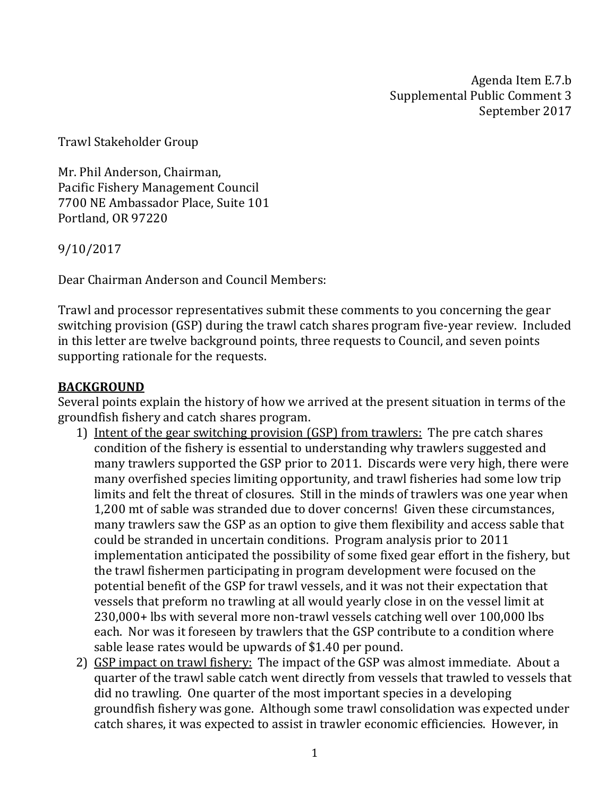Agenda Item E.7.b Supplemental Public Comment 3 September 2017

Trawl Stakeholder Group

Mr. Phil Anderson, Chairman, Pacific Fishery Management Council 7700 NE Ambassador Place, Suite 101 Portland, OR 97220

9/10/2017

Dear Chairman Anderson and Council Members:

Trawl and processor representatives submit these comments to you concerning the gear switching provision (GSP) during the trawl catch shares program five-year review. Included in this letter are twelve background points, three requests to Council, and seven points supporting rationale for the requests.

## **BACKGROUND**

Several points explain the history of how we arrived at the present situation in terms of the groundfish fishery and catch shares program.

- 1) Intent of the gear switching provision (GSP) from trawlers: The pre catch shares condition of the fishery is essential to understanding why trawlers suggested and many trawlers supported the GSP prior to 2011. Discards were very high, there were many overfished species limiting opportunity, and trawl fisheries had some low trip limits and felt the threat of closures. Still in the minds of trawlers was one year when 1,200 mt of sable was stranded due to dover concerns! Given these circumstances, many trawlers saw the GSP as an option to give them flexibility and access sable that could be stranded in uncertain conditions. Program analysis prior to 2011 implementation anticipated the possibility of some fixed gear effort in the fishery, but the trawl fishermen participating in program development were focused on the potential benefit of the GSP for trawl vessels, and it was not their expectation that vessels that preform no trawling at all would yearly close in on the vessel limit at 230,000+ lbs with several more non-trawl vessels catching well over 100,000 lbs each. Nor was it foreseen by trawlers that the GSP contribute to a condition where sable lease rates would be upwards of \$1.40 per pound.
- 2) GSP impact on trawl fishery: The impact of the GSP was almost immediate. About a quarter of the trawl sable catch went directly from vessels that trawled to vessels that did no trawling. One quarter of the most important species in a developing groundfish fishery was gone. Although some trawl consolidation was expected under catch shares, it was expected to assist in trawler economic efficiencies. However, in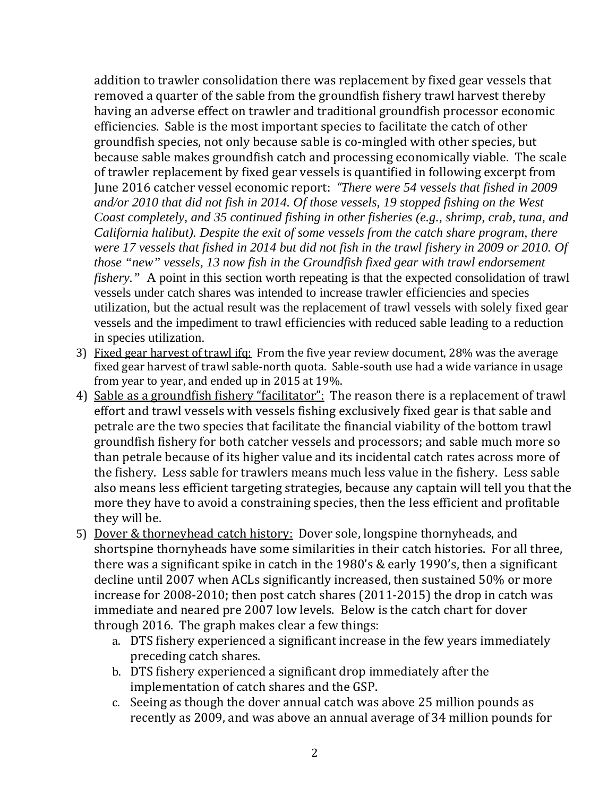addition to trawler consolidation there was replacement by fixed gear vessels that removed a quarter of the sable from the groundfish fishery trawl harvest thereby having an adverse effect on trawler and traditional groundfish processor economic efficiencies. Sable is the most important species to facilitate the catch of other groundfish species, not only because sable is co-mingled with other species, but because sable makes groundfish catch and processing economically viable. The scale of trawler replacement by fixed gear vessels is quantified in following excerpt from June 2016 catcher vessel economic report: *"There were 54 vessels that fished in 2009 and/or 2010 that did not fish in 2014. Of those vessels, 19 stopped fishing on the West Coast completely, and 35 continued fishing in other fisheries (e.g., shrimp, crab, tuna, and California halibut). Despite the exit of some vessels from the catch share program, there were 17 vessels that fished in 2014 but did not fish in the trawl fishery in 2009 or 2010. Of those "new" vessels, 13 now fish in the Groundfish fixed gear with trawl endorsement fishery.*" A point in this section worth repeating is that the expected consolidation of trawl vessels under catch shares was intended to increase trawler efficiencies and species utilization, but the actual result was the replacement of trawl vessels with solely fixed gear vessels and the impediment to trawl efficiencies with reduced sable leading to a reduction in species utilization.

- 3) Fixed gear harvest of trawl ifq: From the five year review document, 28% was the average fixed gear harvest of trawl sable-north quota. Sable-south use had a wide variance in usage from year to year, and ended up in 2015 at 19%.
- 4) Sable as a groundfish fishery "facilitator": The reason there is a replacement of trawl effort and trawl vessels with vessels fishing exclusively fixed gear is that sable and petrale are the two species that facilitate the financial viability of the bottom trawl groundfish fishery for both catcher vessels and processors; and sable much more so than petrale because of its higher value and its incidental catch rates across more of the fishery. Less sable for trawlers means much less value in the fishery. Less sable also means less efficient targeting strategies, because any captain will tell you that the more they have to avoid a constraining species, then the less efficient and profitable they will be.
- 5) Dover & thorneyhead catch history: Dover sole, longspine thornyheads, and shortspine thornyheads have some similarities in their catch histories. For all three, there was a significant spike in catch in the 1980's & early 1990's, then a significant decline until 2007 when ACLs significantly increased, then sustained 50% or more increase for 2008-2010; then post catch shares (2011-2015) the drop in catch was immediate and neared pre 2007 low levels. Below is the catch chart for dover through 2016. The graph makes clear a few things:
	- a. DTS fishery experienced a significant increase in the few years immediately preceding catch shares.
	- b. DTS fishery experienced a significant drop immediately after the implementation of catch shares and the GSP.
	- c. Seeing as though the dover annual catch was above 25 million pounds as recently as 2009, and was above an annual average of 34 million pounds for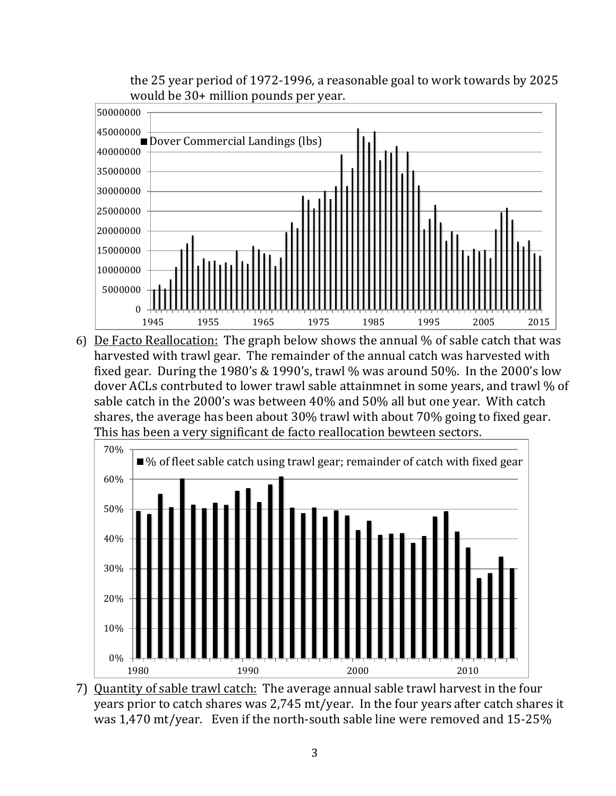the 25 year period of 1972-1996, a reasonable goal to work towards by 2025 would be 30+ million pounds per year.



1945 1955 1965 1975 1985 1995 2005 2015<br>
6) De Facto Reallocation: The graph below shows the annual % of sable catch that was harvested with trawl gear. The remainder of the annual catch was harvested with fixed gear. During the 1980's & 1990's, trawl % was around 50%. In the 2000's low dover ACLs contrbuted to lower trawl sable attainmnet in some years, and trawl % of sable catch in the 2000's was between 40% and 50% all but one year. With catch shares, the average has been about 30% trawl with about 70% going to fixed gear. This has been a very significant de facto reallocation bewteen sectors.



7) Quantity of sable trawl catch: The average annual sable trawl harvest in the four years prior to catch shares was 2,745 mt/year. In the four years after catch shares it was 1,470 mt/year. Even if the north-south sable line were removed and 15-25%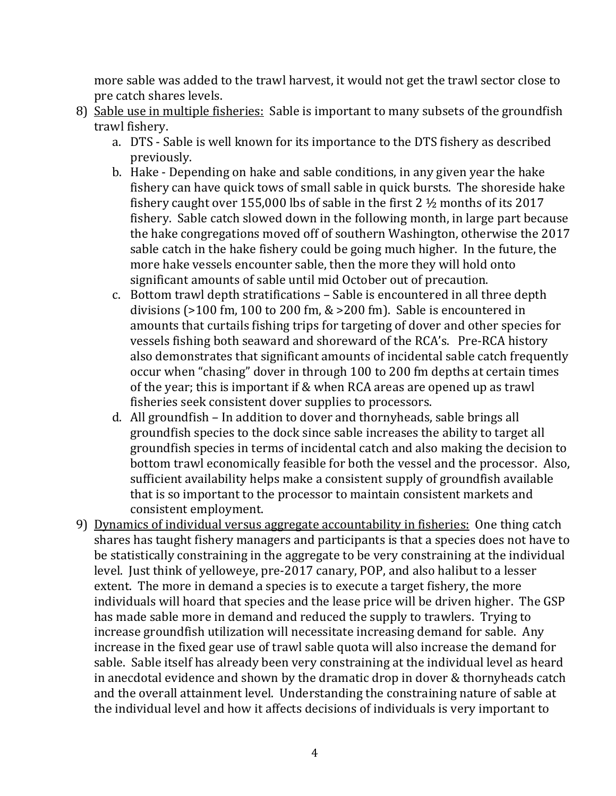more sable was added to the trawl harvest, it would not get the trawl sector close to pre catch shares levels.

- 8) Sable use in multiple fisheries: Sable is important to many subsets of the groundfish trawl fishery.
	- a. DTS Sable is well known for its importance to the DTS fishery as described previously.
	- b. Hake Depending on hake and sable conditions, in any given year the hake fishery can have quick tows of small sable in quick bursts. The shoreside hake fishery caught over 155,000 lbs of sable in the first 2 ½ months of its 2017 fishery. Sable catch slowed down in the following month, in large part because the hake congregations moved off of southern Washington, otherwise the 2017 sable catch in the hake fishery could be going much higher. In the future, the more hake vessels encounter sable, then the more they will hold onto significant amounts of sable until mid October out of precaution.
	- c. Bottom trawl depth stratifications Sable is encountered in all three depth divisions (>100 fm, 100 to 200 fm, & >200 fm). Sable is encountered in amounts that curtails fishing trips for targeting of dover and other species for vessels fishing both seaward and shoreward of the RCA's. Pre-RCA history also demonstrates that significant amounts of incidental sable catch frequently occur when "chasing" dover in through 100 to 200 fm depths at certain times of the year; this is important if & when RCA areas are opened up as trawl fisheries seek consistent dover supplies to processors.
	- d. All groundfish In addition to dover and thornyheads, sable brings all groundfish species to the dock since sable increases the ability to target all groundfish species in terms of incidental catch and also making the decision to bottom trawl economically feasible for both the vessel and the processor. Also, sufficient availability helps make a consistent supply of groundfish available that is so important to the processor to maintain consistent markets and consistent employment.
- 9) Dynamics of individual versus aggregate accountability in fisheries: One thing catch shares has taught fishery managers and participants is that a species does not have to be statistically constraining in the aggregate to be very constraining at the individual level. Just think of yelloweye, pre-2017 canary, POP, and also halibut to a lesser extent. The more in demand a species is to execute a target fishery, the more individuals will hoard that species and the lease price will be driven higher. The GSP has made sable more in demand and reduced the supply to trawlers. Trying to increase groundfish utilization will necessitate increasing demand for sable. Any increase in the fixed gear use of trawl sable quota will also increase the demand for sable. Sable itself has already been very constraining at the individual level as heard in anecdotal evidence and shown by the dramatic drop in dover & thornyheads catch and the overall attainment level. Understanding the constraining nature of sable at the individual level and how it affects decisions of individuals is very important to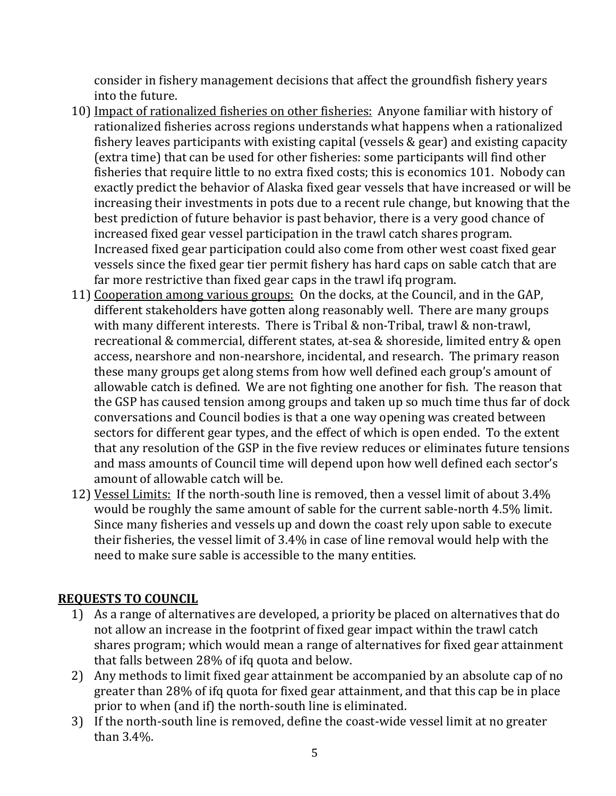consider in fishery management decisions that affect the groundfish fishery years into the future.

- 10) Impact of rationalized fisheries on other fisheries: Anyone familiar with history of rationalized fisheries across regions understands what happens when a rationalized fishery leaves participants with existing capital (vessels & gear) and existing capacity (extra time) that can be used for other fisheries: some participants will find other fisheries that require little to no extra fixed costs; this is economics 101. Nobody can exactly predict the behavior of Alaska fixed gear vessels that have increased or will be increasing their investments in pots due to a recent rule change, but knowing that the best prediction of future behavior is past behavior, there is a very good chance of increased fixed gear vessel participation in the trawl catch shares program. Increased fixed gear participation could also come from other west coast fixed gear vessels since the fixed gear tier permit fishery has hard caps on sable catch that are far more restrictive than fixed gear caps in the trawl ifq program.
- 11) Cooperation among various groups: On the docks, at the Council, and in the GAP, different stakeholders have gotten along reasonably well. There are many groups with many different interests. There is Tribal & non-Tribal, trawl & non-trawl, recreational & commercial, different states, at-sea & shoreside, limited entry & open access, nearshore and non-nearshore, incidental, and research. The primary reason these many groups get along stems from how well defined each group's amount of allowable catch is defined. We are not fighting one another for fish. The reason that the GSP has caused tension among groups and taken up so much time thus far of dock conversations and Council bodies is that a one way opening was created between sectors for different gear types, and the effect of which is open ended. To the extent that any resolution of the GSP in the five review reduces or eliminates future tensions and mass amounts of Council time will depend upon how well defined each sector's amount of allowable catch will be.
- 12) Vessel Limits: If the north-south line is removed, then a vessel limit of about 3.4% would be roughly the same amount of sable for the current sable-north 4.5% limit. Since many fisheries and vessels up and down the coast rely upon sable to execute their fisheries, the vessel limit of 3.4% in case of line removal would help with the need to make sure sable is accessible to the many entities.

## **REQUESTS TO COUNCIL**

- 1) As a range of alternatives are developed, a priority be placed on alternatives that do not allow an increase in the footprint of fixed gear impact within the trawl catch shares program; which would mean a range of alternatives for fixed gear attainment that falls between 28% of ifq quota and below.
- 2) Any methods to limit fixed gear attainment be accompanied by an absolute cap of no greater than 28% of ifq quota for fixed gear attainment, and that this cap be in place prior to when (and if) the north-south line is eliminated.
- 3) If the north-south line is removed, define the coast-wide vessel limit at no greater than 3.4%.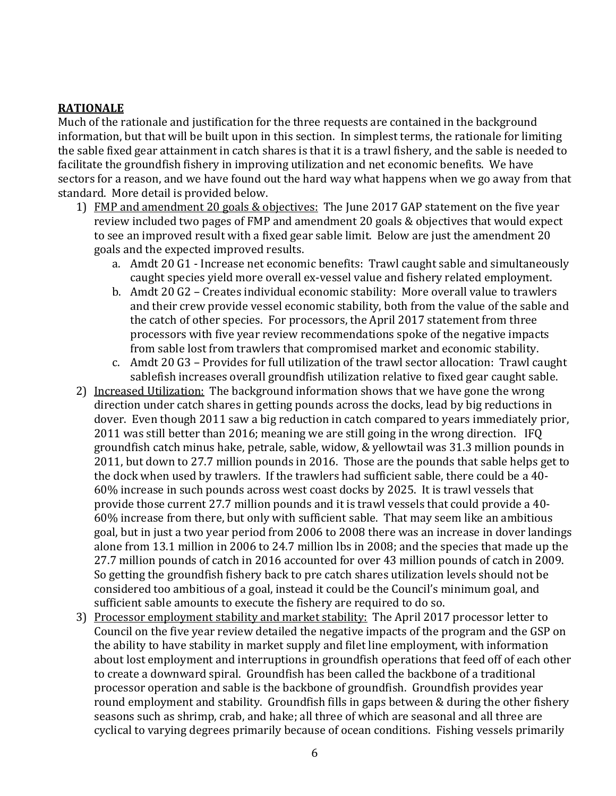## **RATIONALE**

Much of the rationale and justification for the three requests are contained in the background information, but that will be built upon in this section. In simplest terms, the rationale for limiting the sable fixed gear attainment in catch shares is that it is a trawl fishery, and the sable is needed to facilitate the groundfish fishery in improving utilization and net economic benefits. We have sectors for a reason, and we have found out the hard way what happens when we go away from that standard. More detail is provided below.

- 1) FMP and amendment 20 goals & objectives: The June 2017 GAP statement on the five year review included two pages of FMP and amendment 20 goals & objectives that would expect to see an improved result with a fixed gear sable limit. Below are just the amendment 20 goals and the expected improved results.
	- a. Amdt 20 G1 Increase net economic benefits: Trawl caught sable and simultaneously caught species yield more overall ex-vessel value and fishery related employment.
	- b. Amdt 20 G2 Creates individual economic stability: More overall value to trawlers and their crew provide vessel economic stability, both from the value of the sable and the catch of other species. For processors, the April 2017 statement from three processors with five year review recommendations spoke of the negative impacts from sable lost from trawlers that compromised market and economic stability.
	- c. Amdt 20 G3 Provides for full utilization of the trawl sector allocation: Trawl caught sablefish increases overall groundfish utilization relative to fixed gear caught sable.
- 2) Increased Utilization: The background information shows that we have gone the wrong direction under catch shares in getting pounds across the docks, lead by big reductions in dover. Even though 2011 saw a big reduction in catch compared to years immediately prior, 2011 was still better than 2016; meaning we are still going in the wrong direction. IFQ groundfish catch minus hake, petrale, sable, widow, & yellowtail was 31.3 million pounds in 2011, but down to 27.7 million pounds in 2016. Those are the pounds that sable helps get to the dock when used by trawlers. If the trawlers had sufficient sable, there could be a 40- 60% increase in such pounds across west coast docks by 2025. It is trawl vessels that provide those current 27.7 million pounds and it is trawl vessels that could provide a 40- 60% increase from there, but only with sufficient sable. That may seem like an ambitious goal, but in just a two year period from 2006 to 2008 there was an increase in dover landings alone from 13.1 million in 2006 to 24.7 million lbs in 2008; and the species that made up the 27.7 million pounds of catch in 2016 accounted for over 43 million pounds of catch in 2009. So getting the groundfish fishery back to pre catch shares utilization levels should not be considered too ambitious of a goal, instead it could be the Council's minimum goal, and sufficient sable amounts to execute the fishery are required to do so.
- 3) Processor employment stability and market stability: The April 2017 processor letter to Council on the five year review detailed the negative impacts of the program and the GSP on the ability to have stability in market supply and filet line employment, with information about lost employment and interruptions in groundfish operations that feed off of each other to create a downward spiral. Groundfish has been called the backbone of a traditional processor operation and sable is the backbone of groundfish. Groundfish provides year round employment and stability. Groundfish fills in gaps between & during the other fishery seasons such as shrimp, crab, and hake; all three of which are seasonal and all three are cyclical to varying degrees primarily because of ocean conditions. Fishing vessels primarily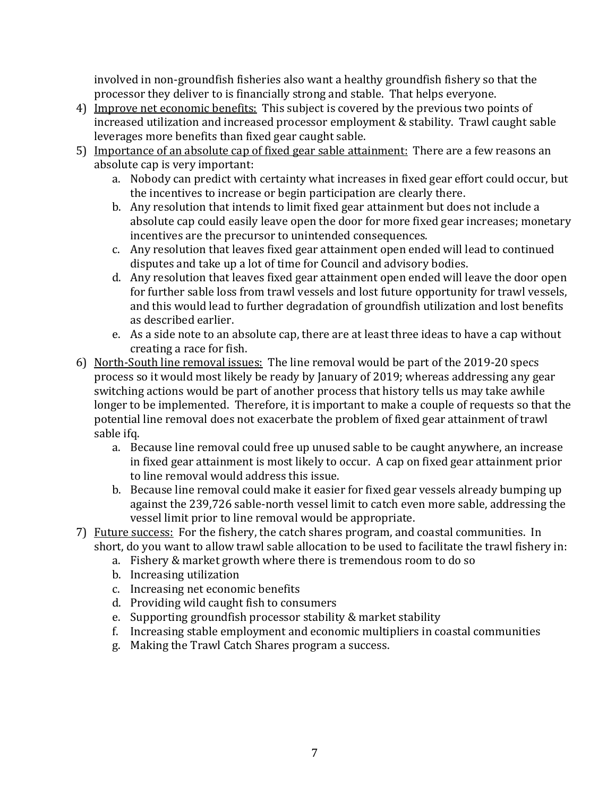involved in non-groundfish fisheries also want a healthy groundfish fishery so that the processor they deliver to is financially strong and stable. That helps everyone.

- 4) Improve net economic benefits: This subject is covered by the previous two points of increased utilization and increased processor employment & stability. Trawl caught sable leverages more benefits than fixed gear caught sable.
- 5) Importance of an absolute cap of fixed gear sable attainment: There are a few reasons an absolute cap is very important:
	- a. Nobody can predict with certainty what increases in fixed gear effort could occur, but the incentives to increase or begin participation are clearly there.
	- b. Any resolution that intends to limit fixed gear attainment but does not include a absolute cap could easily leave open the door for more fixed gear increases; monetary incentives are the precursor to unintended consequences.
	- c. Any resolution that leaves fixed gear attainment open ended will lead to continued disputes and take up a lot of time for Council and advisory bodies.
	- d. Any resolution that leaves fixed gear attainment open ended will leave the door open for further sable loss from trawl vessels and lost future opportunity for trawl vessels, and this would lead to further degradation of groundfish utilization and lost benefits as described earlier.
	- e. As a side note to an absolute cap, there are at least three ideas to have a cap without creating a race for fish.
- 6) North-South line removal issues: The line removal would be part of the 2019-20 specs process so it would most likely be ready by January of 2019; whereas addressing any gear switching actions would be part of another process that history tells us may take awhile longer to be implemented. Therefore, it is important to make a couple of requests so that the potential line removal does not exacerbate the problem of fixed gear attainment of trawl sable ifq.
	- a. Because line removal could free up unused sable to be caught anywhere, an increase in fixed gear attainment is most likely to occur. A cap on fixed gear attainment prior to line removal would address this issue.
	- b. Because line removal could make it easier for fixed gear vessels already bumping up against the 239,726 sable-north vessel limit to catch even more sable, addressing the vessel limit prior to line removal would be appropriate.
- 7) Future success: For the fishery, the catch shares program, and coastal communities. In short, do you want to allow trawl sable allocation to be used to facilitate the trawl fishery in:
	- a. Fishery & market growth where there is tremendous room to do so
	- b. Increasing utilization
	- c. Increasing net economic benefits
	- d. Providing wild caught fish to consumers
	- e. Supporting groundfish processor stability & market stability
	- f. Increasing stable employment and economic multipliers in coastal communities
	- g. Making the Trawl Catch Shares program a success.